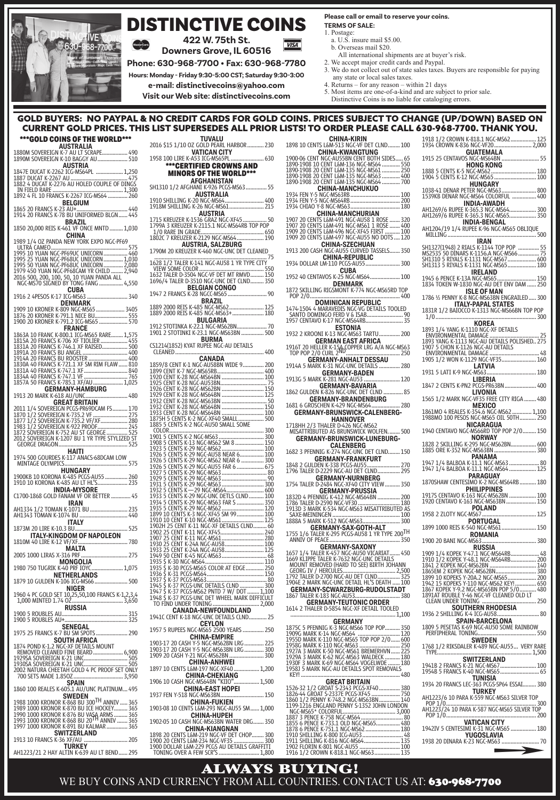

## DISTINCTIVE COINS

**422 W. 75th St. Downers Grove, IL 60516**

**Phone: 630-968-7700 • Fax: 630-968-7780**

**Hours: Monday - Friday 9:30-5:00 CST; Saturday 9:30-3:00**

**e-mail: distinctivecoins@yahoo.com**

**Visit our Web site: distinctivecoins.com**

#### **Please call or email to reserve your coins. TERMS OF SALE:**

- 1. Postage:
	- a. U.S. insure mail \$5.00.
	- b. Overseas mail \$20.
- All international shipments are at buyer's risk. 2. We accept major credit cards and Paypal.
- 3. We do not collect out of state sales taxes. Buyers are responsible for paying any state or local sales taxes.
- 4. Returns for any reason within 21 days
- 5. Most items are one-of-a-kind and are subject to prior sale. Distinctive Coins is no liable for cataloging errors.
- 

### GOLD BUYERS: NO PAYPAL & NO CREDIT CARDS FOR GOLD COINS. PRICES SUBJECT TO CHANGE (UP/DOWN) BASED ON<br>CURRENT GOLD PRICES. THIS LIST SUPERSEDES ALL PRIOR LISTS! TO ORDER PLEASE CALL 630-968-7700. THANK YOU. CURRENT GOLD PRICES. THIS LIST SUPERSEDES ALL PRIOR LIS

**VISA** 

| ***GOLD COINS OF THE WORLD***                                                                                                                                                                                                             |
|-------------------------------------------------------------------------------------------------------------------------------------------------------------------------------------------------------------------------------------------|
| <b>AUSTRALIA</b><br>1880M SOVEREIGN K-7 AU LT SCRAPE 490<br>1890M SOVEREIGN K-10 BAGGY AU  510                                                                                                                                            |
| <b>AUSTRIA</b>                                                                                                                                                                                                                            |
| IN FIELD RARE<br><b>BELGIUM</b>                                                                                                                                                                                                           |
| <b>BRAZIL</b>                                                                                                                                                                                                                             |
| 1850 20,000 REIS K-461 VF ONCE MNTD  1,030                                                                                                                                                                                                |
| 1989 1                                                                                                                                                                                                                                    |
|                                                                                                                                                                                                                                           |
| 1971 N. (2006)<br>1995 10 YUAN NGC-PF69UC UNICORN (1999)<br>1995 25 YUAN NGC-PF69UC UNICORN (1999)<br>1995 25 YUAN NGC-PF68UC UNICORN (1999)<br>1995 50 YUAN NGC-PF68UC UNICORN (1999)<br>1979 450 YUAN NGC-PF68UC UNICORN (1999)<br>2016 |
| <b>CUBA</b><br>1916 2 4PESOS K-17 ICG-MS63  340                                                                                                                                                                                           |
|                                                                                                                                                                                                                                           |
| <b>FRANCE</b>                                                                                                                                                                                                                             |
|                                                                                                                                                                                                                                           |
|                                                                                                                                                                                                                                           |
|                                                                                                                                                                                                                                           |
|                                                                                                                                                                                                                                           |
|                                                                                                                                                                                                                                           |
| GERMANY-HAMBURG<br>1913 20 MARK K-618 AU/UNC 480                                                                                                                                                                                          |
| <b>GREAT BRITAIN</b>                                                                                                                                                                                                                      |
|                                                                                                                                                                                                                                           |
|                                                                                                                                                                                                                                           |
|                                                                                                                                                                                                                                           |
| <b>GEORGE DRAGON</b><br>1974 500 GOURDES K-117 ANACS-68DCAM LOW<br>MINTAGE OLYMPICS<br>575                                                                                                                                                |
| <b>HUNGARY</b><br>1900KB 10 KORONA K-485 PCGS-AU55  260<br>1910 10 KORONA K-485 AU LT HL'S 235                                                                                                                                            |
| EXECUTE INDIA-MYSORE<br>C1700-1868 GOLD FANAM VF OR BETTER  45                                                                                                                                                                            |
| IRAN                                                                                                                                                                                                                                      |
|                                                                                                                                                                                                                                           |
|                                                                                                                                                                                                                                           |
|                                                                                                                                                                                                                                           |
|                                                                                                                                                                                                                                           |
| NIGER                                                                                                                                                                                                                                     |
| 1960 4 PC GOLD SET 10,25,50,100 FRANCS K-1,2,3,4<br>1,000 MINTED 1.74 OZ 3,650                                                                                                                                                            |
|                                                                                                                                                                                                                                           |
| <b>SENEGAL</b><br>1975 25 FRANCS K-7 BU SM SPOTS<br>290<br><b>SOUTH AFRICA</b>                                                                                                                                                            |
| 1874 POND K-1.2 NGC-XF DETAILS MOUNT<br>700 SETS MADE 1.850Z 3,950                                                                                                                                                                        |
| <b>SPAIN</b><br>1860 100 REALES K-605.1 AU/UNC PLATINUM 495                                                                                                                                                                               |
| <b>SWEDEN</b>                                                                                                                                                                                                                             |
|                                                                                                                                                                                                                                           |
| 1988 1000 KRONOR K-868 BU 300 <sup>TH</sup> ANNIV  365<br>1989 1000 KRONOR K-870 BU ICE HOCKEY  365<br>1990 1000 KRONOR K-870 BU ICE HOCKEY  365<br>1993 1000 KRONOR K-868 BU 20 <sup>11</sup> ANNIV  365<br>1997 1000 KRONOR K-          |
| <b>SWITZERLAND</b>                                                                                                                                                                                                                        |
| 1913 10 FRANCS K-36 XF/AU<br>205<br>TURKEY                                                                                                                                                                                                |
| AH1223/21 2 HAY ALTIN K-639 AU LT BEND  295                                                                                                                                                                                               |

| <b>TUVALU</b><br>2016 \$15 1/10 OZ GOLD PEARL HARBOR  230                                                                                                                                                                                                |
|----------------------------------------------------------------------------------------------------------------------------------------------------------------------------------------------------------------------------------------------------------|
| <b>VATICAN CITY</b>                                                                                                                                                                                                                                      |
| 1958 100 LIRE K-A53 ICG-MS65PL<br>630<br>***CERTIFIED CROWNS AND                                                                                                                                                                                         |
|                                                                                                                                                                                                                                                          |
|                                                                                                                                                                                                                                                          |
|                                                                                                                                                                                                                                                          |
|                                                                                                                                                                                                                                                          |
|                                                                                                                                                                                                                                                          |
| <b>AUSTRIA</b>                                                                                                                                                                                                                                           |
|                                                                                                                                                                                                                                                          |
|                                                                                                                                                                                                                                                          |
|                                                                                                                                                                                                                                                          |
| <b>AUSTRIA, SALZBURG</b><br>1790M 20 KREUZER K-460 NGC-UNC DET CLEANED                                                                                                                                                                                   |
| 75                                                                                                                                                                                                                                                       |
| <b>EXAMPLE AND STATE RESPONDED AND STATE OF STATE RESPONDED AND STATE OF STATE OF STATE OF STATE OF STATE AND STATE OF STATE OF STATE AND STATE OF STATE OF STATE OF STATE OF STATE OF STATE AND STATE OF STATE OF STATE OF STAT</b>                     |
|                                                                                                                                                                                                                                                          |
|                                                                                                                                                                                                                                                          |
|                                                                                                                                                                                                                                                          |
|                                                                                                                                                                                                                                                          |
|                                                                                                                                                                                                                                                          |
|                                                                                                                                                                                                                                                          |
| <b>BULGARIA</b>                                                                                                                                                                                                                                          |
| .<br>1912 STOTINKA K-22.1 NGC-MS62BN 70<br>1901 2 STOTINKI K-23.1 NGC-MS63BN  500                                                                                                                                                                        |
| <b>BURMA</b>                                                                                                                                                                                                                                             |
| CS1214(1852) KYAT RUPEE NGC-AU DETAILS<br><b>CLEANED</b>                                                                                                                                                                                                 |
|                                                                                                                                                                                                                                                          |
|                                                                                                                                                                                                                                                          |
|                                                                                                                                                                                                                                                          |
|                                                                                                                                                                                                                                                          |
|                                                                                                                                                                                                                                                          |
|                                                                                                                                                                                                                                                          |
|                                                                                                                                                                                                                                                          |
|                                                                                                                                                                                                                                                          |
|                                                                                                                                                                                                                                                          |
|                                                                                                                                                                                                                                                          |
|                                                                                                                                                                                                                                                          |
|                                                                                                                                                                                                                                                          |
|                                                                                                                                                                                                                                                          |
|                                                                                                                                                                                                                                                          |
|                                                                                                                                                                                                                                                          |
|                                                                                                                                                                                                                                                          |
|                                                                                                                                                                                                                                                          |
|                                                                                                                                                                                                                                                          |
|                                                                                                                                                                                                                                                          |
|                                                                                                                                                                                                                                                          |
|                                                                                                                                                                                                                                                          |
|                                                                                                                                                                                                                                                          |
|                                                                                                                                                                                                                                                          |
|                                                                                                                                                                                                                                                          |
|                                                                                                                                                                                                                                                          |
|                                                                                                                                                                                                                                                          |
|                                                                                                                                                                                                                                                          |
|                                                                                                                                                                                                                                                          |
|                                                                                                                                                                                                                                                          |
|                                                                                                                                                                                                                                                          |
| 1875 H CHINESE CONCRETA SAN HILL MICHAEL MARK 2000<br>1887 5 CENTS K-2 NGC XF40 SMALL SOME CONTRIBUTE CONTROL CONTROL CONTROL CONTROL CONTROL CONTROL CONTROL CONTROL CONTROL CONTROL CONTROL CONTROL CONTROL CONTROL CONTROL CON<br>CANADA-NEWFOUNDLAND |
| 1941C CENT K-18 NGC-UNC DETAILS CLND 25                                                                                                                                                                                                                  |
| <b>CEYLON</b><br>MS65 2500                                                                                                                                                                                                                               |
| 1957 5 RUPEES NGC-N<br>) YEARS<br>250<br><b>CHINA-EMPIRE</b>                                                                                                                                                                                             |
|                                                                                                                                                                                                                                                          |
| .<br>1903-17 20 CASH Y-5 NGC-MS62BN LRG  225<br>1903-17 20 CASH Y-5 NGC-MS63BN LRG  300                                                                                                                                                                  |
| 1909 20 CASH Y-21 NGC-MS62BN.<br>300<br><b>CHINA-ANHWEI</b>                                                                                                                                                                                              |
| 1897 10 CENTS L&M-197 NGC-XF40  1,200                                                                                                                                                                                                                    |
| <b>CHINA-CHEKIANG</b>                                                                                                                                                                                                                                    |
| 1906 10 CASH NGC-MS64BN "KIIO" 1,500                                                                                                                                                                                                                     |
| CHINA-EAST HOPEI<br>1937 FEN Y-518 NGC-MS63BN 150                                                                                                                                                                                                        |
| <b>CHINA-FUKIEN</b>                                                                                                                                                                                                                                      |
| 1903-08 10 CENTS L&M-293 NGC-AU55 SM  1,000                                                                                                                                                                                                              |
| CHINA-HUPEH<br>1902-05 10 CASH NGC-MS63BN WATER DRG 350                                                                                                                                                                                                  |
| CHINA-KIANGNAN                                                                                                                                                                                                                                           |
| 1898 20 CENTS LĂM-219 NGC-VF DET CHOP 300<br>1900 20 CENTS LĂM-224 NGC-VF35<br>1900 DOLLAR LĂM-229 PCGS AU DETAILS GRAFFITI<br>"TONING OVER A FEW SCR'S  1,800                                                                                           |
|                                                                                                                                                                                                                                                          |
|                                                                                                                                                                                                                                                          |

|         |            |                | <b>CHINA-KIRIN</b> | 1898 10 CENTS L&M-513 NGC-VF DET CLND  100                                                                                                                                                                                                 |       |
|---------|------------|----------------|--------------------|--------------------------------------------------------------------------------------------------------------------------------------------------------------------------------------------------------------------------------------------|-------|
|         |            |                |                    | <b>CHINA-KWANGTUNG</b>                                                                                                                                                                                                                     |       |
|         |            |                |                    | 1900-06 CENT NGC-AUSSEN CENT BOTH<br>1890-1908 10 CENT Lém-136 NGC-M564 ----------- 550<br>1890-1908 10 CENT Lém-136 NGC-M564 ----------- 550<br>1890-1908 20 CENT Lém-135 NGC-M563 ----------- 250<br>1890-1908 20 CENT Lém-135 NGC-M563  |       |
|         |            |                |                    |                                                                                                                                                                                                                                            |       |
|         |            |                |                    |                                                                                                                                                                                                                                            |       |
|         |            |                |                    |                                                                                                                                                                                                                                            |       |
|         |            |                |                    |                                                                                                                                                                                                                                            |       |
|         |            |                |                    |                                                                                                                                                                                                                                            |       |
|         |            |                |                    |                                                                                                                                                                                                                                            |       |
|         |            |                |                    |                                                                                                                                                                                                                                            |       |
|         |            |                |                    |                                                                                                                                                                                                                                            |       |
|         |            |                |                    |                                                                                                                                                                                                                                            |       |
|         |            |                |                    |                                                                                                                                                                                                                                            |       |
|         |            |                | <b>CUBA</b>        |                                                                                                                                                                                                                                            |       |
|         |            |                |                    |                                                                                                                                                                                                                                            |       |
|         |            |                |                    |                                                                                                                                                                                                                                            | 400   |
|         |            |                |                    |                                                                                                                                                                                                                                            |       |
|         |            |                |                    |                                                                                                                                                                                                                                            |       |
|         |            |                |                    | 1932 2 KROONI K-13 NGC-MS63 TARTU 200                                                                                                                                                                                                      |       |
|         | 1916T 20 H |                |                    | <b>GERMAN EAST AFRICA</b>                                                                                                                                                                                                                  |       |
|         |            |                |                    |                                                                                                                                                                                                                                            |       |
| 1914A 5 |            |                |                    | GERMANY-ANHALT DESSAU<br>MARK K-31 NGC-UNC DETAILS  280                                                                                                                                                                                    |       |
|         |            |                |                    |                                                                                                                                                                                                                                            |       |
|         |            |                |                    | 1862 GULDEN K-826 NGC-UNC DET CLND  85                                                                                                                                                                                                     |       |
|         |            |                |                    | GERMANY-BRANDENBURG<br>1681 6 GROSCHEN K-429 NGC-MS64                                                                                                                                                                                      | 280   |
|         |            |                | <b>HANNOVER</b>    | GERMANY-BRUNSWICK-CALENBERG-                                                                                                                                                                                                               |       |
|         |            |                |                    | 1718HH 2/3 THALER D-426 NGC-MS62<br>MISATTRIBUTED AS BRUNSWICK WOLFEN                                                                                                                                                                      |       |
|         |            |                |                    | <b>GERMANY-BRUNSWICK-LUNEBURG</b>                                                                                                                                                                                                          |       |
|         |            |                | CALENBERG          | 1682 3 PFENNIG K-274 NGC-UNC DET CLND 150                                                                                                                                                                                                  |       |
|         |            |                |                    | <b>GERMANY-FRANKFURT</b>                                                                                                                                                                                                                   |       |
|         |            |                |                    |                                                                                                                                                                                                                                            |       |
|         |            |                |                    | GERMANY-NURNBERG<br>1754 TALER D-2484 NGC-XF40 CITY VIEW  350                                                                                                                                                                              |       |
|         |            |                |                    | <b>GERMANY-PRUSSIA</b>                                                                                                                                                                                                                     |       |
|         |            |                |                    |                                                                                                                                                                                                                                            |       |
|         |            |                |                    |                                                                                                                                                                                                                                            |       |
|         |            |                |                    |                                                                                                                                                                                                                                            |       |
|         |            |                |                    | GERMANY-SAX-GOTH-ALT<br>1755 1/6 TALER K-295 PCGS-AU58 1 YR TYPE 200TH                                                                                                                                                                     |       |
|         |            | ANNIV OF PEACE |                    |                                                                                                                                                                                                                                            |       |
|         |            |                |                    | <b>GERMANY-SAXONY</b>                                                                                                                                                                                                                      |       |
|         |            |                |                    |                                                                                                                                                                                                                                            |       |
|         |            |                |                    |                                                                                                                                                                                                                                            |       |
|         |            |                |                    | 1657 1/4 TALER K457 NGCAU50 VICARIAT 450<br>1669 KILPPE TALER K457 NGCAU50 VICARIAT 450<br>MOUNT REMOVED (HARD TO SEE) BIRTH JOHANN<br>GEORG IV / HEROULES<br>1792 TALER D-2700 NGC-AU DET CLND                                            |       |
|         |            |                |                    |                                                                                                                                                                                                                                            |       |
|         |            |                |                    | <b>GERMANY-TEUTONIC ORDER</b>                                                                                                                                                                                                              |       |
|         |            |                |                    | 1614 2 THALER D-5854 NGC-XF DETAIL TOOLED                                                                                                                                                                                                  | 1,100 |
|         |            |                | GERMAN             |                                                                                                                                                                                                                                            |       |
|         |            |                |                    |                                                                                                                                                                                                                                            |       |
|         |            |                |                    |                                                                                                                                                                                                                                            |       |
|         |            |                |                    |                                                                                                                                                                                                                                            |       |
|         |            |                |                    |                                                                                                                                                                                                                                            |       |
|         |            |                |                    |                                                                                                                                                                                                                                            |       |
|         | KEY!       |                |                    |                                                                                                                                                                                                                                            | 480   |
|         |            |                |                    |                                                                                                                                                                                                                                            |       |
|         |            |                |                    |                                                                                                                                                                                                                                            |       |
|         |            |                |                    |                                                                                                                                                                                                                                            |       |
|         |            |                |                    |                                                                                                                                                                                                                                            |       |
|         |            |                |                    |                                                                                                                                                                                                                                            |       |
|         |            |                |                    | KEY! CREAT BRITAIN 480<br>1826-32 1/2 GROAT SPATAIN<br>1826-44 GROAT 5-2337 PCCS-XF45<br>1826-44 GROAT 5-2337 PCCS-XF45<br>1826-12 DEMINY K748-2 NGC-M653BN<br>1926-1216 ENGLAND PENNY S-1352 JOHN 1000001<br>1827 3 PENCE K-733.1 OLD NGC |       |

1916 1/2 CROWN K-818.1 NGC-MS63 ................. 135

| 1222 - 2020 - 2020 - 2020 - 2020 - 2020 - 2020 - 2020 - 2030 - 2030 - 2030 - 2030 - 2030 - 2030 - 2030 - 2030<br>1808 - 2030 - 2030 - 2030 - 2030 - 2030 - 2030 - 2030 - 2030 - 2030 - 2030 - 2030 - 2030 - 2030 - 2030 - 2030<br>19            |
|-------------------------------------------------------------------------------------------------------------------------------------------------------------------------------------------------------------------------------------------------|
|                                                                                                                                                                                                                                                 |
| INDIA-AWADH                                                                                                                                                                                                                                     |
| AH1269/6 RUPEE K-365.3 NGC-MS64 300<br>AH1269/6 RUPEE K-365.3 NGC-MS65 350<br><b>INDIA-BENGAL</b>                                                                                                                                               |
| AH1204/19 1/4 RUPEE K-96 NGC-MS65 OBLIQUE<br><b>MILLING</b><br>IRAN                                                                                                                                                                             |
|                                                                                                                                                                                                                                                 |
| SH1327(1948) 2 RIALS K-1144 TOP POP   55<br>MS2535 50 DINARS K-1156.A NGC-MS66  75<br>SH1310 5 RIYALS K-1131 NGC-MS67  600<br>SH1313 5 RIYALS K-1131 NGC-MS65<br><b>IRELAND</b>                                                                 |
|                                                                                                                                                                                                                                                 |
| <b>ISLE OF MAN</b><br>1786 1/2 PENNY K-8 NGC-MS63BN ENGRAILED  300                                                                                                                                                                              |
| 1781 - TALY-PAPAL STATES<br>1831R 1/2 BAIOCCO K-1313 NGC-MS66BN TOP POP<br>$1/0$                                                                                                                                                                |
| KOREA<br>1893 1/4 YANG K-1110 NGC-XF DETAILS<br>- ENVIRONMENTAL DAMAGE<br>1893 YANG K-1113 NGC-AU DETAILS POLISHED 275<br>1907 5 CHON K-1113 NGC-AU DETAILS<br>- ENVIRONMENTAL DAMAGE<br>- ENVIRONMENTAL DAMAGE<br>1905 1/2 WON K-1129 NGC-VF35 |
|                                                                                                                                                                                                                                                 |
|                                                                                                                                                                                                                                                 |
| LATVIA                                                                                                                                                                                                                                          |
| <b>IVONIA</b>                                                                                                                                                                                                                                   |
| 1565 1/2 MARK NGC-VF35 FREE CITY RIGA  480<br><b>MEXICO</b>                                                                                                                                                                                     |
|                                                                                                                                                                                                                                                 |
| NICARAGUA<br>1940 CENTAVO NGC-MS66RD TOP POP 2/0  150<br><b>NORWAY</b>                                                                                                                                                                          |
| .<br>1828 2 SKILLING K-295 NGC-MS62BN 600<br>1885 ORE K-352 NGC-MS63BN  380                                                                                                                                                                     |
| PANAMA<br>1947 1/4 BALBOA K-11.1 NGC-MS63  80<br>1947 1/4 BALBOA K-11.1 NGC-MS64  125                                                                                                                                                           |
| <b>PARAGUAY</b><br>1870SHAW CENTESIMO K-2 NGC-MS64RB  180                                                                                                                                                                                       |
| <b>PHILIPPINES</b>                                                                                                                                                                                                                              |
| POLAND<br>1958 2 ZLOTY NGC-MS67                                                                                                                                                                                                                 |
| PORTUGAL<br>1899 1000 REIS K-540 NGC-MS61 150                                                                                                                                                                                                   |
| ROMANIA<br>380<br>1900 20 BANI NGC-MS63                                                                                                                                                                                                         |
| <b>RUSSIA</b>                                                                                                                                                                                                                                   |
|                                                                                                                                                                                                                                                 |
|                                                                                                                                                                                                                                                 |
|                                                                                                                                                                                                                                                 |
|                                                                                                                                                                                                                                                 |
| SOUTHERN RHODESIA<br>1936 2 SHILLING K-4 ICG-AU58<br>80                                                                                                                                                                                         |
| SPAIN-BARCELONA<br>550                                                                                                                                                                                                                          |
| <b>SWEDEN</b><br>1768 1/2 RIKSDALER K-489 NGC-AU55 VERY RARE                                                                                                                                                                                    |
| TYPE<br>1,500<br>SWITZERLAND                                                                                                                                                                                                                    |
| TUNISIA                                                                                                                                                                                                                                         |
| <b>TURKEY</b>                                                                                                                                                                                                                                   |
| 300                                                                                                                                                                                                                                             |
| 200                                                                                                                                                                                                                                             |
| <b>VATICAN CITY</b><br>1942IV 5 CENTESIMI K-31 NGC-MS65<br>180<br>YUGOSLAVIA                                                                                                                                                                    |
| 1938 20 DINARA K-23 NGC-MS63.                                                                                                                                                                                                                   |
| ▅                                                                                                                                                                                                                                               |
|                                                                                                                                                                                                                                                 |

ALWAYS BUYING! WE BUY COINS AND CURRENCY FROM ALL COUNTRIES. CONTACT US AT: 630-968-7700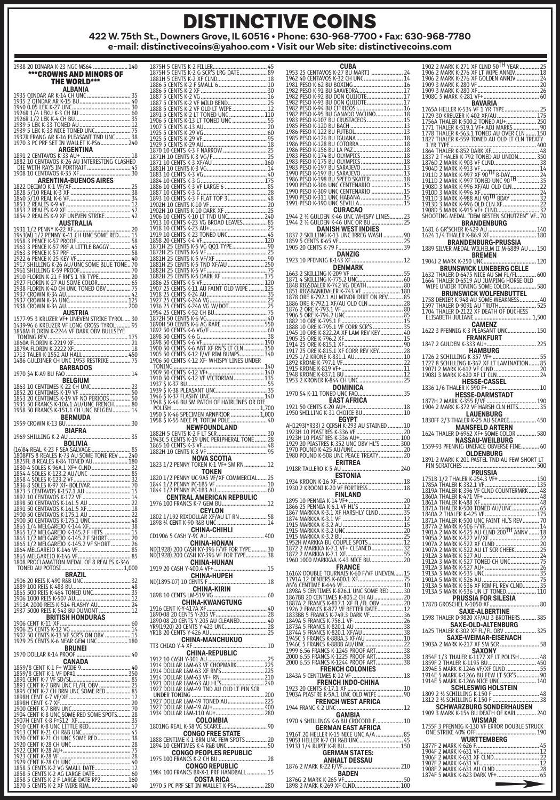**e-mail: distinctivecoins@yahoo.com • Visit our Web site: distinctivecoins.com**

| 1938 20 DINARA K-23 NGC-MS64<br>140                                                                                                                                                                                                                                                                                                                                                                                                                          |
|--------------------------------------------------------------------------------------------------------------------------------------------------------------------------------------------------------------------------------------------------------------------------------------------------------------------------------------------------------------------------------------------------------------------------------------------------------------|
| ***CROWNS AND MINORS OF                                                                                                                                                                                                                                                                                                                                                                                                                                      |
| <b>THE WORLD***</b><br>ALBANIA                                                                                                                                                                                                                                                                                                                                                                                                                               |
|                                                                                                                                                                                                                                                                                                                                                                                                                                                              |
|                                                                                                                                                                                                                                                                                                                                                                                                                                                              |
|                                                                                                                                                                                                                                                                                                                                                                                                                                                              |
|                                                                                                                                                                                                                                                                                                                                                                                                                                                              |
| <b>ALBANIA AREA (HUNGER)<br/>1935 OINDAR AR K-14 CH UNC<br/>1940 OOS LEK K-27 UNC - CHEMIC - 30 000 - 2000 PER K-27 UNC - 2000 - 2000 PER K-27 UNC - 2000 PER K-27 UNC - 2000<br/>1926 A 1/2 LEKU K-3 CH BU --------------------------------</b>                                                                                                                                                                                                             |
| ARGENTINA<br>18                                                                                                                                                                                                                                                                                                                                                                                                                                              |
|                                                                                                                                                                                                                                                                                                                                                                                                                                                              |
| 30<br><b>ARENTINA-BUENOS AIRES</b>                                                                                                                                                                                                                                                                                                                                                                                                                           |
|                                                                                                                                                                                                                                                                                                                                                                                                                                                              |
| 1822 DECIMO K-1 UF/XF<br>1828 5/10 REAL K-3 XF<br>1840 5/10 REAL K-3 XF<br>1840 5/10 REAL K-6 VF<br>1853 2 REALES K-9 VF<br>1853 2 REALES K-9 VF<br>1854 2 REALES K-9 XF UNEVEN STRIKE<br>1854 2 REALES K-9 XF UNEVEN STRIKE                                                                                                                                                                                                                                 |
|                                                                                                                                                                                                                                                                                                                                                                                                                                                              |
| 1854 2 REALES K-9 XE UNIVERSITATION 42<br>1931 1/2 PENNY K-22 XF FINALIA<br>1931 1/2 PENNY K-22 XF FINALIA<br>1938 3 PENCE K-57 PROOF<br>1958 3 PENCE K-57 PROOF<br>1958 3 PENCE K-57 PROOF<br>1953 3 PENCE K-57 PROOF<br>1953 3 PENCE K-57                                                                                                                                                                                                                  |
|                                                                                                                                                                                                                                                                                                                                                                                                                                                              |
|                                                                                                                                                                                                                                                                                                                                                                                                                                                              |
|                                                                                                                                                                                                                                                                                                                                                                                                                                                              |
|                                                                                                                                                                                                                                                                                                                                                                                                                                                              |
|                                                                                                                                                                                                                                                                                                                                                                                                                                                              |
|                                                                                                                                                                                                                                                                                                                                                                                                                                                              |
|                                                                                                                                                                                                                                                                                                                                                                                                                                                              |
|                                                                                                                                                                                                                                                                                                                                                                                                                                                              |
|                                                                                                                                                                                                                                                                                                                                                                                                                                                              |
|                                                                                                                                                                                                                                                                                                                                                                                                                                                              |
|                                                                                                                                                                                                                                                                                                                                                                                                                                                              |
|                                                                                                                                                                                                                                                                                                                                                                                                                                                              |
| 1938 LKUWN K-34 AULTRIA<br>1577-95 3 KRUZER VF+ UNEVEN STRIKE TYROL  30<br>1439-96 6 KREUZER VF LONG CROSS TYROL  30<br>1858M FLORIN K-2224 VF DARK OBV BULLSEYE<br>1713 TALER K-1552 AU HALL<br><b>BARBADOS</b>                                                                                                                                                                                                                                             |
| 1970 \$4 K-A9 BU FAO<br><b>BELGIUM</b>                                                                                                                                                                                                                                                                                                                                                                                                                       |
| 1863<br>1852                                                                                                                                                                                                                                                                                                                                                                                                                                                 |
| 1853<br>1935                                                                                                                                                                                                                                                                                                                                                                                                                                                 |
|                                                                                                                                                                                                                                                                                                                                                                                                                                                              |
|                                                                                                                                                                                                                                                                                                                                                                                                                                                              |
|                                                                                                                                                                                                                                                                                                                                                                                                                                                              |
| BIAFRA                                                                                                                                                                                                                                                                                                                                                                                                                                                       |
| 1969 SHILLING K-2 AU<br>35<br>BOLIVIA                                                                                                                                                                                                                                                                                                                                                                                                                        |
|                                                                                                                                                                                                                                                                                                                                                                                                                                                              |
|                                                                                                                                                                                                                                                                                                                                                                                                                                                              |
|                                                                                                                                                                                                                                                                                                                                                                                                                                                              |
|                                                                                                                                                                                                                                                                                                                                                                                                                                                              |
|                                                                                                                                                                                                                                                                                                                                                                                                                                                              |
|                                                                                                                                                                                                                                                                                                                                                                                                                                                              |
|                                                                                                                                                                                                                                                                                                                                                                                                                                                              |
|                                                                                                                                                                                                                                                                                                                                                                                                                                                              |
|                                                                                                                                                                                                                                                                                                                                                                                                                                                              |
|                                                                                                                                                                                                                                                                                                                                                                                                                                                              |
| $\begin{tabular}{ c c c c c } \hline & \multicolumn{1}{ c }{\textbf{20.4-5}} \hline & \multicolumn{1}{ c }{\textbf{21.4-5}} \hline & \multicolumn{1}{ c }{\textbf{22.4-5}} \hline & \multicolumn{1}{ c }{\textbf{23.4-5}} \hline & \multicolumn{1}{ c }{\textbf{24.5-5}} \hline & \multicolumn{1}{ c }{\textbf{25.4-5}} \hline & \multicolumn{1}{ c }{\textbf{26.4-5}} \hline & \multicolumn{1}{ c }{\textbf{2$<br>1808 PROCLAMATION MEDAL OF 8 REALES K-346 |
|                                                                                                                                                                                                                                                                                                                                                                                                                                                              |
|                                                                                                                                                                                                                                                                                                                                                                                                                                                              |
|                                                                                                                                                                                                                                                                                                                                                                                                                                                              |
|                                                                                                                                                                                                                                                                                                                                                                                                                                                              |
|                                                                                                                                                                                                                                                                                                                                                                                                                                                              |
|                                                                                                                                                                                                                                                                                                                                                                                                                                                              |
|                                                                                                                                                                                                                                                                                                                                                                                                                                                              |
|                                                                                                                                                                                                                                                                                                                                                                                                                                                              |
|                                                                                                                                                                                                                                                                                                                                                                                                                                                              |
|                                                                                                                                                                                                                                                                                                                                                                                                                                                              |
|                                                                                                                                                                                                                                                                                                                                                                                                                                                              |
|                                                                                                                                                                                                                                                                                                                                                                                                                                                              |
|                                                                                                                                                                                                                                                                                                                                                                                                                                                              |
|                                                                                                                                                                                                                                                                                                                                                                                                                                                              |
|                                                                                                                                                                                                                                                                                                                                                                                                                                                              |
|                                                                                                                                                                                                                                                                                                                                                                                                                                                              |
|                                                                                                                                                                                                                                                                                                                                                                                                                                                              |
| $1970 \text{ DULAR K-14 PROOF} \text{ CANADAD} \begin{tabular}{ c c } \hline 1670 \text{ NAPDA} \text{ CANAD} \text{ CANAD} \text{ DAMAD} \text{ DAMAD} \text{ DAMAD} \text{ DAMAD} \text{ DAMAD} \text{ EANAD} \text{ EANAD} \text{ EANAD} \text{ EANAD} \text{ EANAD} \text{ EANAD} \text{ EANAD} \text{ EANAD} \text{ EANAD} \text{ EANAD} \text{ EANAD} \text{ EANAD} \text{ EANAD} \text{ EANAD} \text{ EANAD} \text{ EANAD} \text{ EANAD} \$           |

| <b>NOVA SCOTIA</b>                                                                                                                                                                                                                  |
|-------------------------------------------------------------------------------------------------------------------------------------------------------------------------------------------------------------------------------------|
| 1823 1/2 PENNY<br>TOKEN K-1 VF+ SM RN                                                                                                                                                                                               |
| TOKEN                                                                                                                                                                                                                               |
|                                                                                                                                                                                                                                     |
|                                                                                                                                                                                                                                     |
|                                                                                                                                                                                                                                     |
|                                                                                                                                                                                                                                     |
|                                                                                                                                                                                                                                     |
|                                                                                                                                                                                                                                     |
|                                                                                                                                                                                                                                     |
| Y-9C AU                                                                                                                                                                                                                             |
| <b>CHINA-HONAN</b>                                                                                                                                                                                                                  |
| ND(1928) 200                                                                                                                                                                                                                        |
| ND(1928) 200 C                                                                                                                                                                                                                      |
| <b>CHINA-HUNAN</b>                                                                                                                                                                                                                  |
|                                                                                                                                                                                                                                     |
| CHINA-HUPEH                                                                                                                                                                                                                         |
| <b>CHINA-KIRIN</b>                                                                                                                                                                                                                  |
|                                                                                                                                                                                                                                     |
| CHINA-KWANGTUNG                                                                                                                                                                                                                     |
|                                                                                                                                                                                                                                     |
|                                                                                                                                                                                                                                     |
|                                                                                                                                                                                                                                     |
| 0. 20 AM AN ALL AND AN ALL AND A CONTROL AND A SURVEY AND A SURVEY AND A SURVEY AND A SURVEY AND A SURVEY AND<br>1890-08 20 CENTS Y -205 AV<br>49 APR (1920) 20 CENTS Y -423 UNC. 20 AM AN AREA AND A SURVEY AND A SURVEY AND A SUR |
| CHINA-MANCHUKUO                                                                                                                                                                                                                     |
| TT3 CHIAO Y-4 XF<br>10                                                                                                                                                                                                              |
| <b>CHINA-REPUBLIC</b>                                                                                                                                                                                                               |
|                                                                                                                                                                                                                                     |
|                                                                                                                                                                                                                                     |
|                                                                                                                                                                                                                                     |
|                                                                                                                                                                                                                                     |
|                                                                                                                                                                                                                                     |
|                                                                                                                                                                                                                                     |
|                                                                                                                                                                                                                                     |
|                                                                                                                                                                                                                                     |
| COLOMBIA<br>1801NG REAL K-58 VG SCARCE<br>90                                                                                                                                                                                        |
| <b>CONGO FREE STATE</b>                                                                                                                                                                                                             |
|                                                                                                                                                                                                                                     |
| 1888 CENTIME K-1 BRN UNC FEW SPOTS  20<br>1894 10 CENTIMES K-4 R&B UNC  50                                                                                                                                                          |
| <b>CONGO PEOPLES REPUBLIC</b>                                                                                                                                                                                                       |
| 1975 100 FRANCS K-2 CH BU  28                                                                                                                                                                                                       |
| <b>CONGO REPUBLIC</b><br>1984 100 FRANCS BR-X-1 PRF HANDBALL  15                                                                                                                                                                    |
| COSTA RICA<br>1970 5 PC PRF SET IN WALLET K-PS4 280                                                                                                                                                                                 |

|                          | CUBA                                                                                                                                                                                                                                                 |
|--------------------------|------------------------------------------------------------------------------------------------------------------------------------------------------------------------------------------------------------------------------------------------------|
|                          |                                                                                                                                                                                                                                                      |
|                          |                                                                                                                                                                                                                                                      |
|                          |                                                                                                                                                                                                                                                      |
|                          |                                                                                                                                                                                                                                                      |
|                          |                                                                                                                                                                                                                                                      |
|                          |                                                                                                                                                                                                                                                      |
|                          |                                                                                                                                                                                                                                                      |
|                          |                                                                                                                                                                                                                                                      |
|                          |                                                                                                                                                                                                                                                      |
|                          |                                                                                                                                                                                                                                                      |
|                          |                                                                                                                                                                                                                                                      |
|                          |                                                                                                                                                                                                                                                      |
|                          |                                                                                                                                                                                                                                                      |
|                          |                                                                                                                                                                                                                                                      |
|                          |                                                                                                                                                                                                                                                      |
|                          |                                                                                                                                                                                                                                                      |
|                          | <b>CURACAO</b>                                                                                                                                                                                                                                       |
|                          |                                                                                                                                                                                                                                                      |
|                          |                                                                                                                                                                                                                                                      |
|                          |                                                                                                                                                                                                                                                      |
|                          |                                                                                                                                                                                                                                                      |
|                          |                                                                                                                                                                                                                                                      |
| 1923 10 PFENNIG K-143 XF | 12                                                                                                                                                                                                                                                   |
|                          | <b>DENMARK</b>                                                                                                                                                                                                                                       |
|                          | 162 3 SKILING K-200 VF - MARIA 200 MM - 200 MM - 200 MM - 200 MM - 200 MM - 200 MM - 200 MM - 200 MM - 200 MM - 200 MM - 200 MM - 200 MM - 200 MM - 200 MM - 200 MM - 200 MM - 200 MM - 200 MM - 200 MM - 200 MM - 200 MM - 20                       |
|                          |                                                                                                                                                                                                                                                      |
|                          |                                                                                                                                                                                                                                                      |
|                          |                                                                                                                                                                                                                                                      |
|                          |                                                                                                                                                                                                                                                      |
|                          |                                                                                                                                                                                                                                                      |
|                          |                                                                                                                                                                                                                                                      |
|                          |                                                                                                                                                                                                                                                      |
|                          |                                                                                                                                                                                                                                                      |
|                          |                                                                                                                                                                                                                                                      |
|                          |                                                                                                                                                                                                                                                      |
|                          |                                                                                                                                                                                                                                                      |
|                          |                                                                                                                                                                                                                                                      |
|                          |                                                                                                                                                                                                                                                      |
|                          | 1970 \$4 K-11 TONED UNC FAO  35                                                                                                                                                                                                                      |
|                          | <b>EAST AFRICA</b>                                                                                                                                                                                                                                   |
|                          |                                                                                                                                                                                                                                                      |
|                          | EGYPT                                                                                                                                                                                                                                                |
|                          |                                                                                                                                                                                                                                                      |
|                          |                                                                                                                                                                                                                                                      |
|                          |                                                                                                                                                                                                                                                      |
|                          |                                                                                                                                                                                                                                                      |
|                          |                                                                                                                                                                                                                                                      |
|                          |                                                                                                                                                                                                                                                      |
|                          | <b>ERITREA</b>                                                                                                                                                                                                                                       |
| 1918R TALLERO K-5 AU     | 240                                                                                                                                                                                                                                                  |
|                          | ESTONIA                                                                                                                                                                                                                                              |
|                          |                                                                                                                                                                                                                                                      |
|                          | <b>FINLAND</b>                                                                                                                                                                                                                                       |
|                          |                                                                                                                                                                                                                                                      |
|                          |                                                                                                                                                                                                                                                      |
|                          |                                                                                                                                                                                                                                                      |
|                          |                                                                                                                                                                                                                                                      |
|                          |                                                                                                                                                                                                                                                      |
|                          |                                                                                                                                                                                                                                                      |
|                          | 1895 10 PENNIA K-14 V <b>I-MLANU</b><br>1866 25 PENNIA K-6,1 VF HIVS<br>1867 MARKKA K-3.1 XF HARSHLY CLND<br>1874 MARKKA K-3.1 XF HARSHLY CLND<br>1915 MARKKA K-3.2 AU<br>1915 MARKKA K-3.2 AU<br>1915 MARKKA K-3.2 BU<br>1915 MARKKA K-3.2 BU<br>19 |
|                          | 1960 1000 MARKKAA K-43 NICE BU 20                                                                                                                                                                                                                    |
|                          | <b>FRANCE</b><br>1616X DOUBLE TOURNAIS K-60 F/VF UNEVEN  15                                                                                                                                                                                          |
|                          |                                                                                                                                                                                                                                                      |
|                          |                                                                                                                                                                                                                                                      |
|                          |                                                                                                                                                                                                                                                      |
|                          |                                                                                                                                                                                                                                                      |
|                          |                                                                                                                                                                                                                                                      |
|                          |                                                                                                                                                                                                                                                      |
|                          |                                                                                                                                                                                                                                                      |
|                          |                                                                                                                                                                                                                                                      |
|                          |                                                                                                                                                                                                                                                      |
|                          |                                                                                                                                                                                                                                                      |
|                          |                                                                                                                                                                                                                                                      |
|                          | <b>FRENCH COLONIES</b>                                                                                                                                                                                                                               |
|                          | FRENCH INDO-CHINA                                                                                                                                                                                                                                    |
|                          |                                                                                                                                                                                                                                                      |
|                          |                                                                                                                                                                                                                                                      |
| 1944 FRANC K-2 UNC       | <b>FRENCH WEST AFRICA</b>                                                                                                                                                                                                                            |
|                          | GAMBIA                                                                                                                                                                                                                                               |
|                          | 1970 4 SHILLINGS K-6 BU CROCODILE 10                                                                                                                                                                                                                 |
|                          | <b>GERMAN EAST AFRICA</b>                                                                                                                                                                                                                            |
|                          |                                                                                                                                                                                                                                                      |
|                          |                                                                                                                                                                                                                                                      |
|                          | <b>GERMAN STATES:</b>                                                                                                                                                                                                                                |
|                          | ANHALT DESSAU                                                                                                                                                                                                                                        |
| 1876G 2 MARK K-265 VF    | 50                                                                                                                                                                                                                                                   |

1898 2 MARK K-269 XF CLND.

| 906                                                                       |                                                                                                                                                                                                                                 |
|---------------------------------------------------------------------------|---------------------------------------------------------------------------------------------------------------------------------------------------------------------------------------------------------------------------------|
|                                                                           |                                                                                                                                                                                                                                 |
| .<br>1906 2 MARK K-276 XI<br>1909 3 MARK K-280 XI<br>1909 3 MARK K-280 XI |                                                                                                                                                                                                                                 |
| 908G 5 MARK K-281                                                         |                                                                                                                                                                                                                                 |
|                                                                           |                                                                                                                                                                                                                                 |
| 1765A HELLER K-534 VF<br>1729 30 KREUZER K-402                            |                                                                                                                                                                                                                                 |
|                                                                           | 50                                                                                                                                                                                                                              |
| 1756A<br>1771 T                                                           | 90                                                                                                                                                                                                                              |
| 1778                                                                      | 150                                                                                                                                                                                                                             |
| <b>1827 THALER K-559</b>                                                  |                                                                                                                                                                                                                                 |
| 1 YR TYPE                                                                 |                                                                                                                                                                                                                                 |
| 1864 THALER K-852 DARK<br>1837 2 THALER K-792 TOI                         |                                                                                                                                                                                                                                 |
|                                                                           |                                                                                                                                                                                                                                 |
|                                                                           |                                                                                                                                                                                                                                 |
|                                                                           |                                                                                                                                                                                                                                 |
|                                                                           |                                                                                                                                                                                                                                 |
|                                                                           |                                                                                                                                                                                                                                 |
|                                                                           |                                                                                                                                                                                                                                 |
|                                                                           |                                                                                                                                                                                                                                 |
|                                                                           |                                                                                                                                                                                                                                 |
|                                                                           | <b>BRANDENBURG</b>                                                                                                                                                                                                              |
| 1681 6 GR'SCHER K-429 AU<br>1624 1/4 THALER K-86.9 XF                     | 140                                                                                                                                                                                                                             |
| THALER K-86.9 XF                                                          | <b>BRANDENBURG-PRUSSIA</b>                                                                                                                                                                                                      |
| 1889 SILVER MEDAL                                                         | WILHELM II M-6889 AU  150                                                                                                                                                                                                       |
|                                                                           | <b>BREMEN</b>                                                                                                                                                                                                                   |
| 1904J 2 MARK K-250 UNC                                                    |                                                                                                                                                                                                                                 |
|                                                                           | <b>BRUNSWICK LUNEBERG CELLE</b>                                                                                                                                                                                                 |
| 1632 THALER D-6475 NICE AU SM FL/FL<br>1664 THALER D-6519 AU JUMPING HOR! | JUMPING HORSE OLD                                                                                                                                                                                                               |
| WIPE UNDER TONING SOME COLOR                                              | . 580                                                                                                                                                                                                                           |
|                                                                           |                                                                                                                                                                                                                                 |
|                                                                           | <b>BRUNSWICK WOLFENBUTTE</b><br>1758 DENIER K-948 AU SOME WEAKNESS<br>1597 THALER D-9091 AU TRUTH<br>1704 THALER D-2122, XF DEATH OF DUCHE                                                                                      |
|                                                                           |                                                                                                                                                                                                                                 |
|                                                                           | <br>ELISABETH JULIANE<br>ELISABETH JULIANE                                                                                                                                                                                      |
|                                                                           |                                                                                                                                                                                                                                 |
|                                                                           |                                                                                                                                                                                                                                 |
|                                                                           |                                                                                                                                                                                                                                 |
|                                                                           |                                                                                                                                                                                                                                 |
|                                                                           | HAMBURG                                                                                                                                                                                                                         |
|                                                                           |                                                                                                                                                                                                                                 |
| .<br>1907J 2 MARK K-612 VF CLND<br>1908J 3 MARK K-620 XF LT CLN           |                                                                                                                                                                                                                                 |
|                                                                           |                                                                                                                                                                                                                                 |
|                                                                           | <b>HESSE-CASSEL</b>                                                                                                                                                                                                             |
| 1836 1/6 THALER K-590 F+                                                  | <b>HESSE-DARMSTADT</b>                                                                                                                                                                                                          |
|                                                                           |                                                                                                                                                                                                                                 |
|                                                                           |                                                                                                                                                                                                                                 |
|                                                                           |                                                                                                                                                                                                                                 |
| 1830FF 2/3 THALER K-25 AU                                                 | SCARCE.                                                                                                                                                                                                                         |
| 1624 THALER                                                               | MANSFELD ARTERN<br>D-6962 XF+ SOME<br>COLOR.<br>580                                                                                                                                                                             |
|                                                                           | <b>NASSAU-WEILBURG</b>                                                                                                                                                                                                          |
|                                                                           |                                                                                                                                                                                                                                 |
|                                                                           | 1559-93 PFENNIG UNIFACE OBVERSE FINE                                                                                                                                                                                            |
|                                                                           | OLDENBURG                                                                                                                                                                                                                       |
|                                                                           |                                                                                                                                                                                                                                 |
|                                                                           |                                                                                                                                                                                                                                 |
|                                                                           |                                                                                                                                                                                                                                 |
|                                                                           |                                                                                                                                                                                                                                 |
| 1751B 1/2 THALER K-25<br>1785A THALER K-332.1 \<br>1819A THALER K-396 VF  |                                                                                                                                                                                                                                 |
| 1860A TI                                                                  |                                                                                                                                                                                                                                 |
| .A THALER K<br>K                                                          | .48                                                                                                                                                                                                                             |
| 71A THALER<br>THALER                                                      |                                                                                                                                                                                                                                 |
| 1871A THALER                                                              |                                                                                                                                                                                                                                 |
| 1877A 2                                                                   |                                                                                                                                                                                                                                 |
| 901A 2                                                                    |                                                                                                                                                                                                                                 |
| 905A 2<br>907A 2                                                          |                                                                                                                                                                                                                                 |
| 1907A 2                                                                   |                                                                                                                                                                                                                                 |
|                                                                           |                                                                                                                                                                                                                                 |
|                                                                           |                                                                                                                                                                                                                                 |
|                                                                           |                                                                                                                                                                                                                                 |
|                                                                           |                                                                                                                                                                                                                                 |
|                                                                           |                                                                                                                                                                                                                                 |
|                                                                           |                                                                                                                                                                                                                                 |
|                                                                           |                                                                                                                                                                                                                                 |
|                                                                           |                                                                                                                                                                                                                                 |
|                                                                           |                                                                                                                                                                                                                                 |
|                                                                           |                                                                                                                                                                                                                                 |
|                                                                           |                                                                                                                                                                                                                                 |
|                                                                           |                                                                                                                                                                                                                                 |
|                                                                           |                                                                                                                                                                                                                                 |
|                                                                           |                                                                                                                                                                                                                                 |
|                                                                           |                                                                                                                                                                                                                                 |
|                                                                           |                                                                                                                                                                                                                                 |
|                                                                           |                                                                                                                                                                                                                                 |
|                                                                           |                                                                                                                                                                                                                                 |
|                                                                           |                                                                                                                                                                                                                                 |
|                                                                           |                                                                                                                                                                                                                                 |
|                                                                           |                                                                                                                                                                                                                                 |
|                                                                           | <b>WISMAR</b>                                                                                                                                                                                                                   |
|                                                                           | 1755F 3 PFENNIG K-130 VF ERROR DOUBLE STRUCK                                                                                                                                                                                    |
|                                                                           |                                                                                                                                                                                                                                 |
|                                                                           |                                                                                                                                                                                                                                 |
|                                                                           |                                                                                                                                                                                                                                 |
|                                                                           |                                                                                                                                                                                                                                 |
|                                                                           |                                                                                                                                                                                                                                 |
|                                                                           | UNE STRIKE 400 UP<br>1977 F 2 MARK K-626 F<br>1906 F 2 MARK K-625 F<br>1906 F 2 MARK K-631 VF CLND<br>1906 F 2 MARK K-631 VF CLND<br>1907 F 2 MARK K-631 AU CLND<br>1908 F 2 MARK K-631 AU CLND<br>1978 F 2 MARK K-623 DARK VF+ |
|                                                                           | $\rightarrow$                                                                                                                                                                                                                   |